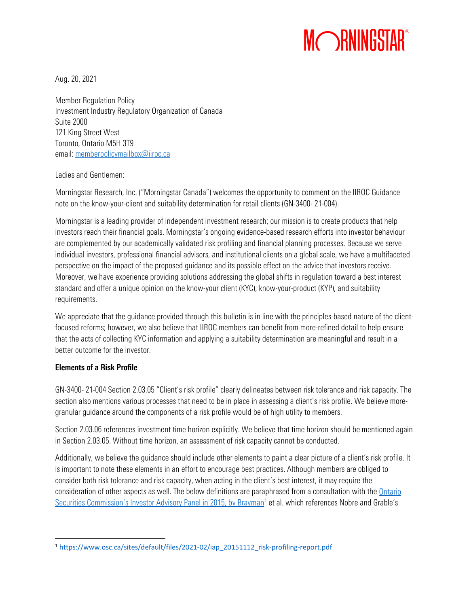# MORNINGSTAR®

Aug. 20, 2021

Member Regulation Policy Investment Industry Regulatory Organization of Canada Suite 2000 121 King Street West Toronto, Ontario M5H 3T9 email: [memberpolicymailbox@iiroc.ca](mailto:memberpolicymailbox@iiroc.ca)

# Ladies and Gentlemen:

Morningstar Research, Inc. ("Morningstar Canada") welcomes the opportunity to comment on the IIROC Guidance note on the know-your-client and suitability determination for retail clients (GN-3400- 21-004).

Morningstar is a leading provider of independent investment research; our mission is to create products that help investors reach their financial goals. Morningstar's ongoing evidence-based research efforts into investor behaviour are complemented by our academically validated risk profiling and financial planning processes. Because we serve individual investors, professional financial advisors, and institutional clients on a global scale, we have a multifaceted perspective on the impact of the proposed guidance and its possible effect on the advice that investors receive. Moreover, we have experience providing solutions addressing the global shifts in regulation toward a best interest standard and offer a unique opinion on the know-your client (KYC), know-your-product (KYP), and suitability requirements.

We appreciate that the guidance provided through this bulletin is in line with the principles-based nature of the clientfocused reforms; however, we also believe that IIROC members can benefit from more-refined detail to help ensure that the acts of collecting KYC information and applying a suitability determination are meaningful and result in a better outcome for the investor.

# Elements of a Risk Profile

GN-3400- 21-004 Section 2.03.05 "Client's risk profile" clearly delineates between risk tolerance and risk capacity. The section also mentions various processes that need to be in place in assessing a client's risk profile. We believe moregranular guidance around the components of a risk profile would be of high utility to members.

Section 2.03.06 references investment time horizon explicitly. We believe that time horizon should be mentioned again in Section 2.03.05. Without time horizon, an assessment of risk capacity cannot be conducted.

Additionally, we believe the guidance should include other elements to paint a clear picture of a client's risk profile. It is important to note these elements in an effort to encourage best practices. Although members are obliged to consider both risk tolerance and risk capacity, when acting in the client's best interest, it may require the consideration of other aspects as well. The below definitions are paraphrased from a consultation with th[e Ontario](https://www.osc.ca/sites/default/files/2021-02/iap_20151112_risk-profiling-report.pdf)  Securities Commission's Investor [Advisory Panel in 2015, by Brayman](https://www.osc.ca/sites/default/files/2021-02/iap_20151112_risk-profiling-report.pdf)<sup>[1](#page-0-0)</sup> et al. which references Nobre and Grable's

<span id="page-0-0"></span> <sup>1</sup> [https://www.osc.ca/sites/default/files/2021-02/iap\\_20151112\\_risk-profiling-report.pdf](https://www.osc.ca/sites/default/files/2021-02/iap_20151112_risk-profiling-report.pdf)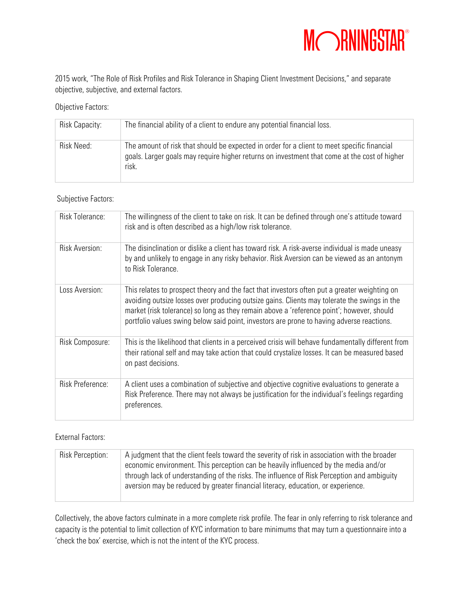

2015 work, "The Role of Risk Profiles and Risk Tolerance in Shaping Client Investment Decisions ," and separate objective, subjective, and external factors.

Objective Factors:

| Risk Capacity: | The financial ability of a client to endure any potential financial loss.                                                                                                                            |
|----------------|------------------------------------------------------------------------------------------------------------------------------------------------------------------------------------------------------|
| Risk Need:     | The amount of risk that should be expected in order for a client to meet specific financial<br>goals. Larger goals may require higher returns on investment that come at the cost of higher<br>risk. |

## Subjective Factors:

| Risk Tolerance:         | The willingness of the client to take on risk. It can be defined through one's attitude toward<br>risk and is often described as a high/low risk tolerance.                                                                                                                                                                                                                            |
|-------------------------|----------------------------------------------------------------------------------------------------------------------------------------------------------------------------------------------------------------------------------------------------------------------------------------------------------------------------------------------------------------------------------------|
| <b>Risk Aversion:</b>   | The disinclination or dislike a client has toward risk. A risk-averse individual is made uneasy<br>by and unlikely to engage in any risky behavior. Risk Aversion can be viewed as an antonym<br>to Risk Tolerance.                                                                                                                                                                    |
| Loss Aversion:          | This relates to prospect theory and the fact that investors often put a greater weighting on<br>avoiding outsize losses over producing outsize gains. Clients may tolerate the swings in the<br>market (risk tolerance) so long as they remain above a 'reference point'; however, should<br>portfolio values swing below said point, investors are prone to having adverse reactions. |
| Risk Composure:         | This is the likelihood that clients in a perceived crisis will behave fundamentally different from<br>their rational self and may take action that could crystalize losses. It can be measured based<br>on past decisions.                                                                                                                                                             |
| <b>Risk Preference:</b> | A client uses a combination of subjective and objective cognitive evaluations to generate a<br>Risk Preference. There may not always be justification for the individual's feelings regarding<br>preferences.                                                                                                                                                                          |

#### External Factors:

| Risk Perception: | A judgment that the client feels toward the severity of risk in association with the broader<br>economic environment. This perception can be heavily influenced by the media and/or |
|------------------|-------------------------------------------------------------------------------------------------------------------------------------------------------------------------------------|
|                  | through lack of understanding of the risks. The influence of Risk Perception and ambiguity<br>aversion may be reduced by greater financial literacy, education, or experience.      |

Collectively, the above factors culminate in a more complete risk profile. The fear in only referring to risk tolerance and capacity is the potential to limit collection of KYC information to bare minimums that may turn a questionnaire into a 'check the box' exercise, which is not the intent of the KYC process.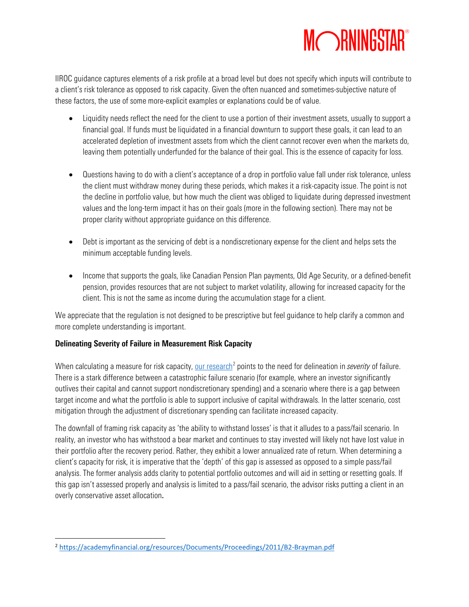

IIROC guidance captures elements of a risk profile at a broad level but does not specify which inputs will contribute to a client's risk tolerance as opposed to risk capacity. Given the often nuanced and somet imes-subjective nature of these factors, the use of some more-explicit examples or explanations could be of value.

- Liquidity needs reflect the need for the client to use a portion of their investment assets, usually to support a financial goal. If funds must be liquidated in a financial downturn to support these goals, it can lead to an accelerated depletion of investment assets from which the client cannot recover even when the markets do, leaving them potentially underfunded for the balance of their goal. This is the essence of capacity for loss.
- Questions having to do with a client's acceptance of a drop in portfolio value fall under risk tolerance, unless the client must withdraw money during these periods, which makes it a risk-capacity issue. The point is not the decline in portfolio value, but how much the client was obliged to liquidate during depressed investment values and the long-term impact it has on their goals (more in the following section). There may not be proper clarity without appropriate guidance on this difference.
- Debt is important as the servicing of debt is a nondiscretionary expense for the client and helps sets the minimum acceptable funding levels.
- Income that supports the goals, like Canadian Pension Plan payments, Old Age Security, or a defined-benefit pension, provides resources that are not subject to market volatility, allowing for increased capacity for the client. This is not the same as income during the accumulation stage for a client.

We appreciate that the regulation is not designed to be prescriptive but feel guidance to help clarify a common and more complete understanding is important.

## Delineating Severity of Failure in Measurement Risk Capacity

When calculating a measure for risk capacity, [our research](https://academyfinancial.org/resources/Documents/Proceedings/2011/B2-Brayman.pdf)<sup>[2](#page-2-0)</sup> points to the need for delineation in *severity* of failure. There is a stark difference between a catastrophic failure scenario (for example, where an investor significantly outlives their capital and cannot support nondiscretionary spending) and a scenario where there is a gap between target income and what the portfolio is able to support inclusive of capital withdrawals. In the latter scenario, cost mitigation through the adjustment of discretionary spending can facilitate increased capacity.

The downfall of framing risk capacity as 'the ability to withstand losses' is that it alludes to a pass/fail scenario. In reality, an investor who has withstood a bear market and continues to stay invested will likely not have lost value in their portfolio after the recovery period. Rather, they exhibit a lower annualized rate of return. When determining a client's capacity for risk, it is imperative that the 'depth' of this gap is assessed as opposed to a simple pass/fail analysis. The former analysis adds clarity to potential portfolio outcomes and will aid in setting or resetting goals. If this gap isn't assessed properly and analysis is limited to a pass/fail scenario, the advisor risks putting a client in an overly conservative asset allocation.

<span id="page-2-0"></span> <sup>2</sup> <https://academyfinancial.org/resources/Documents/Proceedings/2011/B2-Brayman.pdf>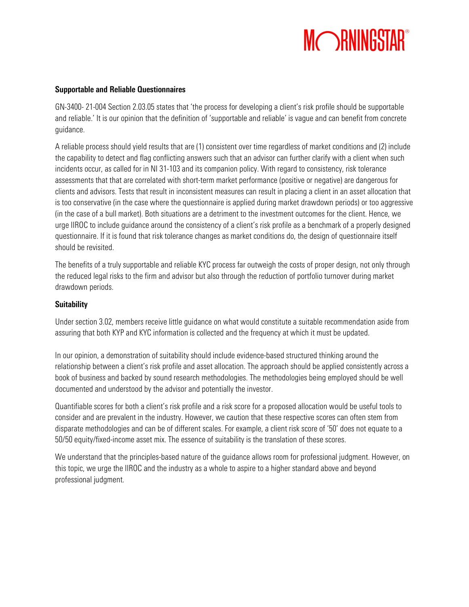

#### Supportable and Reliable Questionnaires

GN-3400- 21-004 Section 2.03.05 states that 'the process for developing a client's risk profile should be supportable and reliable.' It is our opinion that the definition of 'supportable and reliable' is vague and can benefit from concrete guidance.

A reliable process should yield results that are (1) consistent over time regardless of market conditions and (2) include the capability to detect and flag conflicting answers such that an advisor can further clarify with a client when such incidents occur, as called for in NI 31-103 and its companion policy. With regard to consistency, risk tolerance assessments that that are correlated with short-term market performance (positive or negative) are dangerous for clients and advisors. Tests that result in inconsistent measures can result in placing a client in an asset allocation that is too conservative (in the case where the questionnaire is applied during market drawdown periods) or too aggressive (in the case of a bull market). Both situations are a detriment to the investment outcomes for the client. Hence, we urge IIROC to include guidance around the consistency of a client's risk profile as a benchmark of a properly designed questionnaire. If it is found that risk tolerance changes as market conditions do, the design of questionnaire itself should be revisited.

The benefits of a truly supportable and reliable KYC process far outweigh the costs of proper design, not only through the reduced legal risks to the firm and advisor but also through the reduction of portfolio turnover during market drawdown periods.

## **Suitability**

Under section 3.02, members receive little guidance on what would constitute a suitable recommendation aside from assuring that both KYP and KYC information is collected and the frequency at which it must be updated.

In our opinion, a demonstration of suitability should include evidence-based structured thinking around the relationship between a client's risk profile and asset allocation. The approach should be applied consistently across a book of business and backed by sound research methodologies. The methodologies being employed should be well documented and understood by the advisor and potentially the investor.

Quantifiable scores for both a client's risk profile and a risk score for a proposed allocation would be useful tools to consider and are prevalent in the industry. However, we caution that these respective scores can often stem from disparate methodologies and can be of different scales. For example, a client risk score of '50' does not equate to a 50/50 equity/fixed-income asset mix. The essence of suitability is the translation of these scores.

We understand that the principles-based nature of the guidance allows room for professional judgment. However, on this topic, we urge the IIROC and the industry as a whole to aspire to a higher standard above and beyond professional judgment.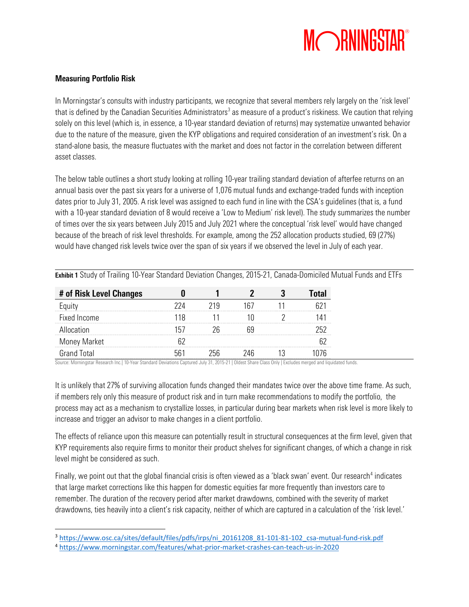

#### Measuring Portfolio Risk

In Morningstar's consults with industry participants, we recognize that several members rely largely on the 'risk level' that is defined by the Canadian Securities Administrators<sup>[3](#page-4-0)</sup> as measure of a product's riskiness. We caution that relying solely on this level (which is, in essence, a 10-year standard deviation of returns) may systematize unwanted behavior due to the nature of the measure, given the KYP obligations and required consideration of an investment's risk. On a stand-alone basis, the measure fluctuates with the market and does not factor in the correlation between different asset classes.

The below table outlines a short study looking at rolling 10-year trailing standard deviation of afterfee returns on an annual basis over the past six years for a universe of 1,076 mutual funds and exchange-traded funds with inception dates prior to July 31, 2005. A risk level was assigned to each fund in line with the CSA's guidelines (that is, a fund with a 10-year standard deviation of 8 would receive a 'Low to Medium' risk level). The study summarizes the number of times over the six years between July 2015 and July 2021 where the conceptual 'risk level' would have changed because of the breach of risk level thresholds. For example, among the 252 allocation products studied, 69 (27%) would have changed risk levels twice over the span of six years if we observed the level in July of each year.

| # of Risk Level Changes |  |  |  |
|-------------------------|--|--|--|
|                         |  |  |  |
| ixed Income             |  |  |  |
| ادمہ                    |  |  |  |
| <b>Money Market</b>     |  |  |  |
| Grand Intal             |  |  |  |

Exhibit 1 Study of Trailing 10-Year Standard Deviation Changes, 2015-21, Canada-Domiciled Mutual Funds and ETFs

Source: Morningstar Research Inc.| 10-Year Standard Deviations Captured July 31, 2015-21 | Oldest Share Class Only | Excludes merged and liquidated funds.

It is unlikely that 27% of surviving allocation funds changed their mandates twice over the above time frame. As such, if members rely only this measure of product risk and in turn make recommendations to modify the portfolio, the process may act as a mechanism to crystallize losses, in particular during bear markets when risk level is more likely to increase and trigger an advisor to make changes in a client portfolio.

The effects of reliance upon this measure can potentially result in structural consequences at the firm level, given that KYP requirements also require firms to monitor their product shelves for significant changes, of which a change in risk level might be considered as such.

Finally, we point out that the global financial crisis is often viewed as a 'black swan' event. Our research<sup>[4](#page-4-1)</sup> indicates that large market corrections like this happen for domestic equities far more frequently than investors care to remember. The duration of the recovery period after market drawdowns, combined with the severity of market drawdowns, ties heavily into a client's risk capacity, neither of which are captured in a calculation of the 'risk level.'

<span id="page-4-0"></span> <sup>3</sup> [https://www.osc.ca/sites/default/files/pdfs/irps/ni\\_20161208\\_81-101-81-102\\_csa-mutual-fund-risk.pdf](https://www.osc.ca/sites/default/files/pdfs/irps/ni_20161208_81-101-81-102_csa-mutual-fund-risk.pdf)

<span id="page-4-1"></span><sup>4</sup> <https://www.morningstar.com/features/what-prior-market-crashes-can-teach-us-in-2020>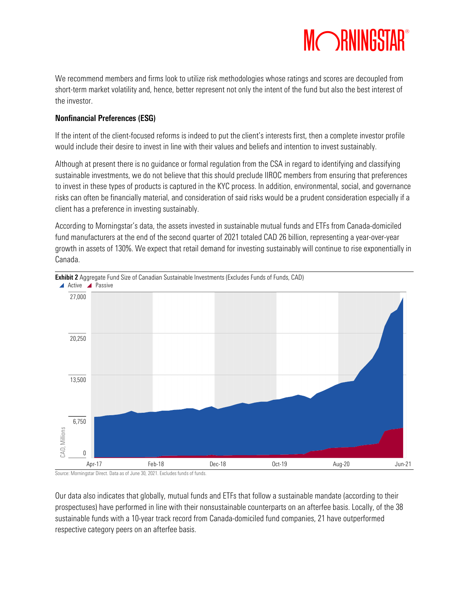

We recommend members and firms look to utilize risk methodologies whose ratings and scores are decoupled from short-term market volatility and, hence, better represent not only the intent of the fund but also the best interest of the investor.

#### Nonfinancial Preferences (ESG)

If the intent of the client-focused reforms is indeed to put the client's interests first, then a complete investor profile would include their desire to invest in line with their values and beliefs and intention to invest sustainably.

Although at present there is no guidance or formal regulation from the CSA in regard to identifying and classifying sustainable investments, we do not believe that this should preclude IIROC members from ensuring that preferences to invest in these types of products is captured in the KYC process. In addition, environmental, social, and governance risks can often be financially material, and consideration of said risks would be a prudent consideration especially if a client has a preference in investing sustainably.

According to Morningstar's data, the assets invested in sustainable mutual funds and ETFs from Canada-domiciled fund manufacturers at the end of the second quarter of 2021 totaled CAD 26 billion, representing a year-over-year growth in assets of 130%. We expect that retail demand for investing sustainably will continue to rise exponentially in Canada.



**Exhibit 2** Aggregate Fund Size of Canadian Sustainable Investments (Excludes Funds of Funds, CAD) ▲ Active ▲ Passive

Our data also indicates that globally, mutual funds and ETFs that follow a sustainable mandate (according to their prospectuses) have performed in line with their nonsustainable counterparts on an afterfee basis. Locally, of the 38 sustainable funds with a 10-year track record from Canada-domiciled fund companies, 21 have outperformed respective category peers on an afterfee basis.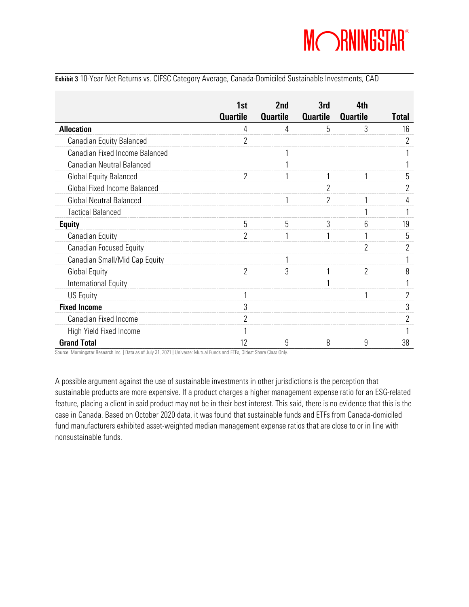

Exhibit 3 10-Year Net Returns vs. CIFSC Category Average, Canada-Domiciled Sustainable Investments, CAD

|                                  | 1st<br><b>Quartile</b> | 2nd<br><b>Quartile</b> | 3rd<br><b>Quartile</b> | 4th<br><b>Quartile</b> | <b>Total</b>   |
|----------------------------------|------------------------|------------------------|------------------------|------------------------|----------------|
| <b>Allocation</b>                | 4                      | 4                      | 5                      | 3                      | 16             |
| Canadian Equity Balanced         | $\overline{2}$         |                        |                        |                        | $\overline{2}$ |
| Canadian Fixed Income Balanced   |                        |                        |                        |                        |                |
| <b>Canadian Neutral Balanced</b> |                        |                        |                        |                        |                |
| Global Equity Balanced           | $\overline{2}$         |                        |                        |                        | 5              |
| Global Fixed Income Balanced     |                        |                        | $\overline{2}$         |                        | $\overline{2}$ |
| <b>Global Neutral Balanced</b>   |                        |                        | $\overline{2}$         |                        | 4              |
| <b>Tactical Balanced</b>         |                        |                        |                        |                        |                |
| <b>Equity</b>                    | 5                      | 5                      | 3                      | 6                      | 19             |
| Canadian Equity                  | $\overline{2}$         |                        |                        |                        | 5              |
| Canadian Focused Equity          |                        |                        |                        | $\overline{2}$         | 2              |
| Canadian Small/Mid Cap Equity    |                        |                        |                        |                        |                |
| <b>Global Equity</b>             | 2                      | 3                      |                        | $\overline{2}$         | 8              |
| International Equity             |                        |                        |                        |                        |                |
| <b>US Equity</b>                 |                        |                        |                        |                        | $\overline{2}$ |
| <b>Fixed Income</b>              | 3                      |                        |                        |                        | 3              |
| Canadian Fixed Income            | $\overline{2}$         |                        |                        |                        | $\overline{2}$ |
| High Yield Fixed Income          |                        |                        |                        |                        |                |
| <b>Grand Total</b>               | 12                     | 9                      | 8                      | 9                      | 38             |

Source: Morningstar Research Inc. | Data as of July 31, 2021 | Universe: Mutual Funds and ETFs, Oldest Share Class Only.

A possible argument against the use of sustainable investments in other jurisdictions is the perception that sustainable products are more expensive. If a product charges a higher management expense ratio for an ESG-related feature, placing a client in said product may not be in their best interest. This said, there is no evidence that this is the case in Canada. Based on October 2020 data, it was found that sustainable funds and ETFs from Canada-domiciled fund manufacturers exhibited asset-weighted median management expense ratios that are close to or in line with nonsustainable funds.